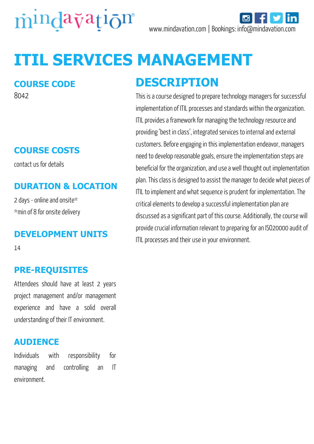

# **ITIL SERVICES MANAGEMENT**

#### **COURSE CODE**

8042

## **COURSE COSTS**

contact us for details

### **DURATION & LOCATION**

2 days - online and onsite\* \*min of 8 for onsite delivery

#### **DEVELOPMENT UNITS**

14

### **PRE-REQUISITES**

Attendees should have at least 2 years project management and/or management experience and have a solid overall understanding of their IT environment.

#### **AUDIENCE**

Individuals with responsibility for managing and controlling an IT environment.

# **DESCRIPTION**

This is a course designed to prepare technology managers for successful implementation of ITIL processes and standards within the organization. ITIL provides a framework for managing the technology resource and providing 'best in class', integrated services to internal and external customers. Before engaging in this implementation endeavor, managers need to develop reasonable goals, ensure the implementation steps are beneficial for the organization, and use a well thought out implementation plan. This class is designed to assist the manager to decide what pieces of ITIL to implement and what sequence is prudent for implementation. The critical elements to develop a successful implementation plan are discussed as a significant part of this course. Additionally, the course will provide crucial information relevant to preparing for an ISO20000 audit of ITIL processes and their use in your environment.